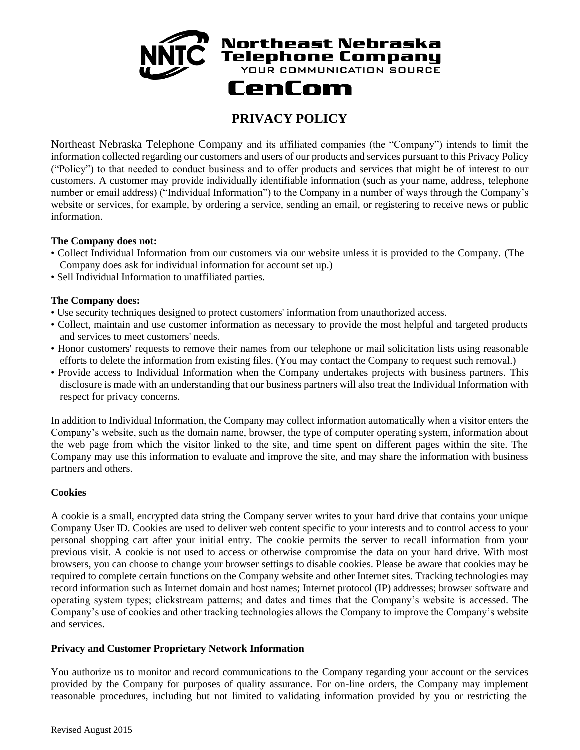YOUR COMMUNICATION SOURCE

**Northeast Nebraska Telephone Company** 

CenCom

# **PRIVACY POLICY**

Northeast Nebraska Telephone Company and its affiliated companies (the "Company") intends to limit the information collected regarding our customers and users of our products and services pursuant to this Privacy Policy ("Policy") to that needed to conduct business and to offer products and services that might be of interest to our customers. A customer may provide individually identifiable information (such as your name, address, telephone number or email address) ("Individual Information") to the Company in a number of ways through the Company's website or services, for example, by ordering a service, sending an email, or registering to receive news or public information.

### **The Company does not:**

- Collect Individual Information from our customers via our website unless it is provided to the Company. (The Company does ask for individual information for account set up.)
- Sell Individual Information to unaffiliated parties.

### **The Company does:**

- Use security techniques designed to protect customers' information from unauthorized access.
- Collect, maintain and use customer information as necessary to provide the most helpful and targeted products and services to meet customers' needs.
- Honor customers' requests to remove their names from our telephone or mail solicitation lists using reasonable efforts to delete the information from existing files. (You may contact the Company to request such removal.)
- Provide access to Individual Information when the Company undertakes projects with business partners. This disclosure is made with an understanding that our business partners will also treat the Individual Information with respect for privacy concerns.

In addition to Individual Information, the Company may collect information automatically when a visitor enters the Company's website, such as the domain name, browser, the type of computer operating system, information about the web page from which the visitor linked to the site, and time spent on different pages within the site. The Company may use this information to evaluate and improve the site, and may share the information with business partners and others.

## **Cookies**

A cookie is a small, encrypted data string the Company server writes to your hard drive that contains your unique Company User ID. Cookies are used to deliver web content specific to your interests and to control access to your personal shopping cart after your initial entry. The cookie permits the server to recall information from your previous visit. A cookie is not used to access or otherwise compromise the data on your hard drive. With most browsers, you can choose to change your browser settings to disable cookies. Please be aware that cookies may be required to complete certain functions on the Company website and other Internet sites. Tracking technologies may record information such as Internet domain and host names; Internet protocol (IP) addresses; browser software and operating system types; clickstream patterns; and dates and times that the Company's website is accessed. The Company's use of cookies and other tracking technologies allows the Company to improve the Company's website and services.

## **Privacy and Customer Proprietary Network Information**

You authorize us to monitor and record communications to the Company regarding your account or the services provided by the Company for purposes of quality assurance. For on-line orders, the Company may implement reasonable procedures, including but not limited to validating information provided by you or restricting the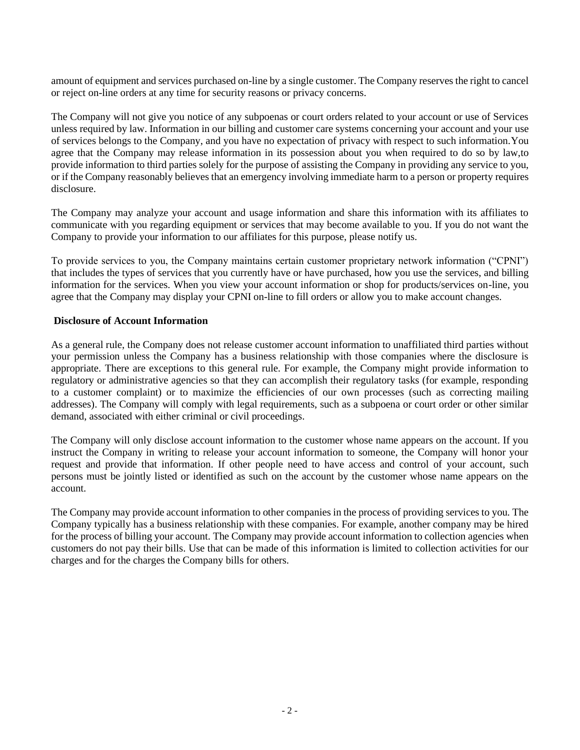amount of equipment and services purchased on-line by a single customer. The Company reserves the right to cancel or reject on-line orders at any time for security reasons or privacy concerns.

The Company will not give you notice of any subpoenas or court orders related to your account or use of Services unless required by law. Information in our billing and customer care systems concerning your account and your use of services belongs to the Company, and you have no expectation of privacy with respect to such information.You agree that the Company may release information in its possession about you when required to do so by law,to provide information to third parties solely for the purpose of assisting the Company in providing any service to you, or if the Company reasonably believes that an emergency involving immediate harm to a person or property requires disclosure.

The Company may analyze your account and usage information and share this information with its affiliates to communicate with you regarding equipment or services that may become available to you. If you do not want the Company to provide your information to our affiliates for this purpose, please notify us.

To provide services to you, the Company maintains certain customer proprietary network information ("CPNI") that includes the types of services that you currently have or have purchased, how you use the services, and billing information for the services. When you view your account information or shop for products/services on-line, you agree that the Company may display your CPNI on-line to fill orders or allow you to make account changes.

### **Disclosure of Account Information**

As a general rule, the Company does not release customer account information to unaffiliated third parties without your permission unless the Company has a business relationship with those companies where the disclosure is appropriate. There are exceptions to this general rule. For example, the Company might provide information to regulatory or administrative agencies so that they can accomplish their regulatory tasks (for example, responding to a customer complaint) or to maximize the efficiencies of our own processes (such as correcting mailing addresses). The Company will comply with legal requirements, such as a subpoena or court order or other similar demand, associated with either criminal or civil proceedings.

The Company will only disclose account information to the customer whose name appears on the account. If you instruct the Company in writing to release your account information to someone, the Company will honor your request and provide that information. If other people need to have access and control of your account, such persons must be jointly listed or identified as such on the account by the customer whose name appears on the account.

The Company may provide account information to other companies in the process of providing services to you. The Company typically has a business relationship with these companies. For example, another company may be hired for the process of billing your account. The Company may provide account information to collection agencies when customers do not pay their bills. Use that can be made of this information is limited to collection activities for our charges and for the charges the Company bills for others.